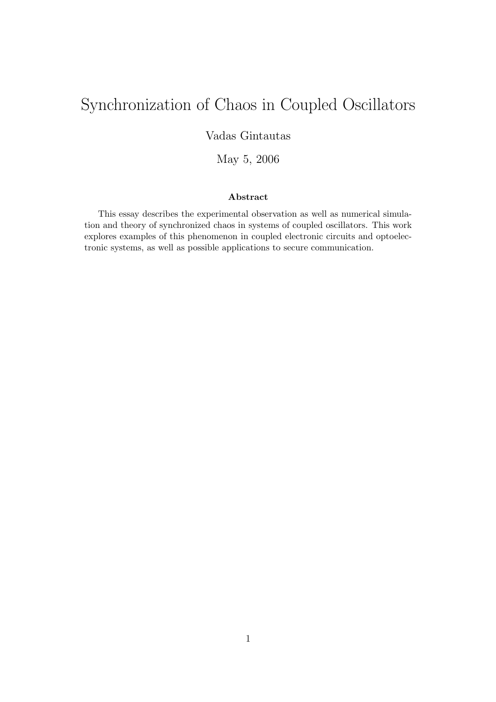# Synchronization of Chaos in Coupled Oscillators

Vadas Gintautas

May 5, 2006

### Abstract

This essay describes the experimental observation as well as numerical simulation and theory of synchronized chaos in systems of coupled oscillators. This work explores examples of this phenomenon in coupled electronic circuits and optoelectronic systems, as well as possible applications to secure communication.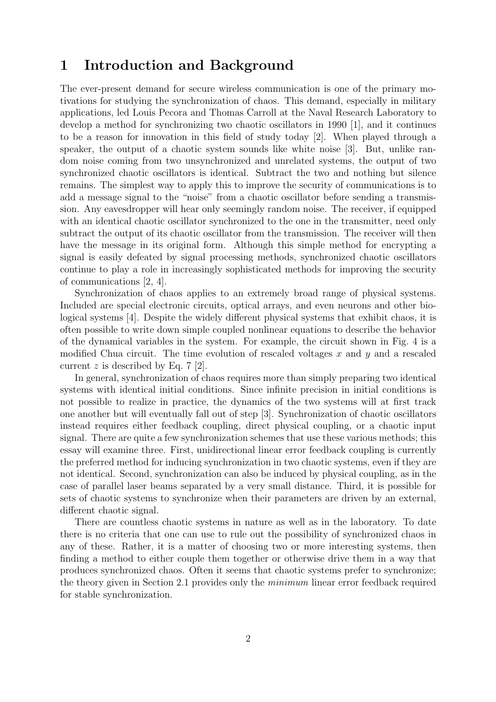### 1 Introduction and Background

The ever-present demand for secure wireless communication is one of the primary motivations for studying the synchronization of chaos. This demand, especially in military applications, led Louis Pecora and Thomas Carroll at the Naval Research Laboratory to develop a method for synchronizing two chaotic oscillators in 1990 [1], and it continues to be a reason for innovation in this field of study today [2]. When played through a speaker, the output of a chaotic system sounds like white noise [3]. But, unlike random noise coming from two unsynchronized and unrelated systems, the output of two synchronized chaotic oscillators is identical. Subtract the two and nothing but silence remains. The simplest way to apply this to improve the security of communications is to add a message signal to the "noise" from a chaotic oscillator before sending a transmission. Any eavesdropper will hear only seemingly random noise. The receiver, if equipped with an identical chaotic oscillator synchronized to the one in the transmitter, need only subtract the output of its chaotic oscillator from the transmission. The receiver will then have the message in its original form. Although this simple method for encrypting a signal is easily defeated by signal processing methods, synchronized chaotic oscillators continue to play a role in increasingly sophisticated methods for improving the security of communications [2, 4].

Synchronization of chaos applies to an extremely broad range of physical systems. Included are special electronic circuits, optical arrays, and even neurons and other biological systems [4]. Despite the widely different physical systems that exhibit chaos, it is often possible to write down simple coupled nonlinear equations to describe the behavior of the dynamical variables in the system. For example, the circuit shown in Fig. 4 is a modified Chua circuit. The time evolution of rescaled voltages  $x$  and  $y$  and a rescaled current z is described by Eq.  $7 \; [2]$ .

In general, synchronization of chaos requires more than simply preparing two identical systems with identical initial conditions. Since infinite precision in initial conditions is not possible to realize in practice, the dynamics of the two systems will at first track one another but will eventually fall out of step [3]. Synchronization of chaotic oscillators instead requires either feedback coupling, direct physical coupling, or a chaotic input signal. There are quite a few synchronization schemes that use these various methods; this essay will examine three. First, unidirectional linear error feedback coupling is currently the preferred method for inducing synchronization in two chaotic systems, even if they are not identical. Second, synchronization can also be induced by physical coupling, as in the case of parallel laser beams separated by a very small distance. Third, it is possible for sets of chaotic systems to synchronize when their parameters are driven by an external, different chaotic signal.

There are countless chaotic systems in nature as well as in the laboratory. To date there is no criteria that one can use to rule out the possibility of synchronized chaos in any of these. Rather, it is a matter of choosing two or more interesting systems, then finding a method to either couple them together or otherwise drive them in a way that produces synchronized chaos. Often it seems that chaotic systems prefer to synchronize; the theory given in Section 2.1 provides only the minimum linear error feedback required for stable synchronization.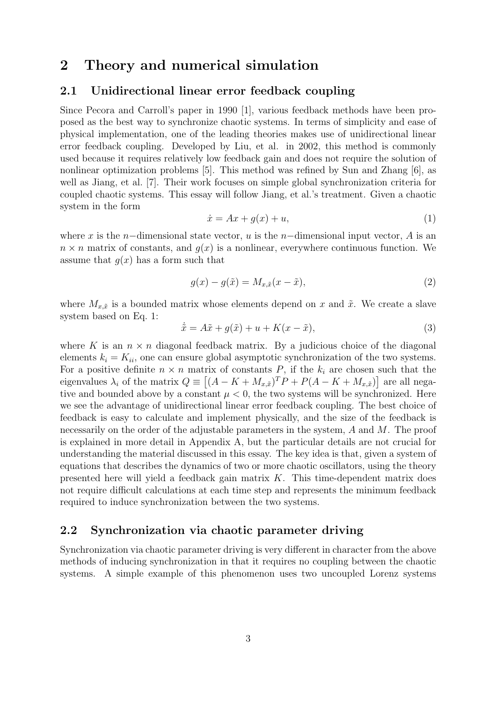# 2 Theory and numerical simulation

### 2.1 Unidirectional linear error feedback coupling

Since Pecora and Carroll's paper in 1990 [1], various feedback methods have been proposed as the best way to synchronize chaotic systems. In terms of simplicity and ease of physical implementation, one of the leading theories makes use of unidirectional linear error feedback coupling. Developed by Liu, et al. in 2002, this method is commonly used because it requires relatively low feedback gain and does not require the solution of nonlinear optimization problems [5]. This method was refined by Sun and Zhang [6], as well as Jiang, et al. [7]. Their work focuses on simple global synchronization criteria for coupled chaotic systems. This essay will follow Jiang, et al.'s treatment. Given a chaotic system in the form

$$
\dot{x} = Ax + g(x) + u,\tag{1}
$$

where x is the n–dimensional state vector, u is the n–dimensional input vector, A is an  $n \times n$  matrix of constants, and  $q(x)$  is a nonlinear, everywhere continuous function. We assume that  $q(x)$  has a form such that

$$
g(x) - g(\tilde{x}) = M_{x,\tilde{x}}(x - \tilde{x}),
$$
\n(2)

where  $M_{x,\tilde{x}}$  is a bounded matrix whose elements depend on x and  $\tilde{x}$ . We create a slave system based on Eq. 1:

$$
\dot{\tilde{x}} = A\tilde{x} + g(\tilde{x}) + u + K(x - \tilde{x}),\tag{3}
$$

where K is an  $n \times n$  diagonal feedback matrix. By a judicious choice of the diagonal elements  $k_i = K_{ii}$ , one can ensure global asymptotic synchronization of the two systems. For a positive definite  $n \times n$  matrix of constants P, if the  $k_i$  are chosen such that the eigenvalues  $\lambda_i$  of the matrix  $Q \equiv [(A - K + M_{x,\tilde{x}})^T P + P(A - K + M_{x,\tilde{x}})]$  are all negative and bounded above by a constant  $\mu < 0$ , the two systems will be synchronized. Here we see the advantage of unidirectional linear error feedback coupling. The best choice of feedback is easy to calculate and implement physically, and the size of the feedback is necessarily on the order of the adjustable parameters in the system,  $A$  and  $M$ . The proof is explained in more detail in Appendix A, but the particular details are not crucial for understanding the material discussed in this essay. The key idea is that, given a system of equations that describes the dynamics of two or more chaotic oscillators, using the theory presented here will yield a feedback gain matrix  $K$ . This time-dependent matrix does not require difficult calculations at each time step and represents the minimum feedback required to induce synchronization between the two systems.

### 2.2 Synchronization via chaotic parameter driving

Synchronization via chaotic parameter driving is very different in character from the above methods of inducing synchronization in that it requires no coupling between the chaotic systems. A simple example of this phenomenon uses two uncoupled Lorenz systems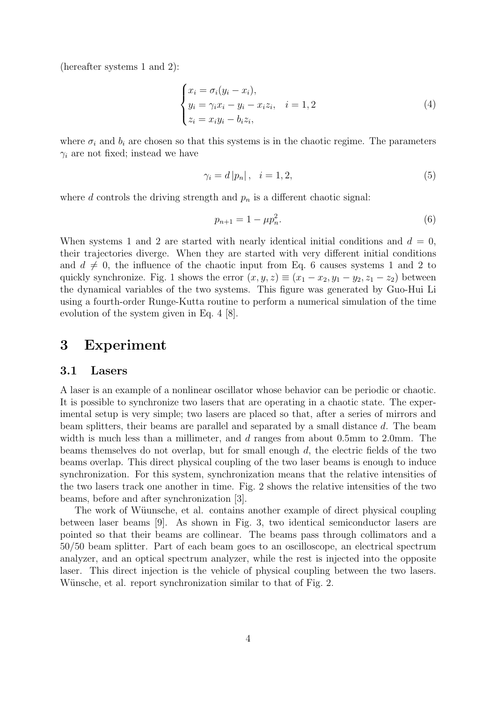(hereafter systems 1 and 2):

$$
\begin{cases}\n x_i = \sigma_i(y_i - x_i), \\
 y_i = \gamma_i x_i - y_i - x_i z_i, \quad i = 1, 2 \\
 z_i = x_i y_i - b_i z_i,\n\end{cases} \tag{4}
$$

where  $\sigma_i$  and  $b_i$  are chosen so that this systems is in the chaotic regime. The parameters  $\gamma_i$  are not fixed; instead we have

$$
\gamma_i = d \left| p_n \right|, \quad i = 1, 2,\tag{5}
$$

where d controls the driving strength and  $p_n$  is a different chaotic signal:

$$
p_{n+1} = 1 - \mu p_n^2. \tag{6}
$$

When systems 1 and 2 are started with nearly identical initial conditions and  $d = 0$ , their trajectories diverge. When they are started with very different initial conditions and  $d \neq 0$ , the influence of the chaotic input from Eq. 6 causes systems 1 and 2 to quickly synchronize. Fig. 1 shows the error  $(x, y, z) \equiv (x_1 - x_2, y_1 - y_2, z_1 - z_2)$  between the dynamical variables of the two systems. This figure was generated by Guo-Hui Li using a fourth-order Runge-Kutta routine to perform a numerical simulation of the time evolution of the system given in Eq. 4 [8].

### 3 Experiment

#### 3.1 Lasers

A laser is an example of a nonlinear oscillator whose behavior can be periodic or chaotic. It is possible to synchronize two lasers that are operating in a chaotic state. The experimental setup is very simple; two lasers are placed so that, after a series of mirrors and beam splitters, their beams are parallel and separated by a small distance d. The beam width is much less than a millimeter, and d ranges from about 0.5mm to 2.0mm. The beams themselves do not overlap, but for small enough d, the electric fields of the two beams overlap. This direct physical coupling of the two laser beams is enough to induce synchronization. For this system, synchronization means that the relative intensities of the two lasers track one another in time. Fig. 2 shows the relative intensities of the two beams, before and after synchronization [3].

The work of Wüunsche, et al. contains another example of direct physical coupling between laser beams [9]. As shown in Fig. 3, two identical semiconductor lasers are pointed so that their beams are collinear. The beams pass through collimators and a 50/50 beam splitter. Part of each beam goes to an oscilloscope, an electrical spectrum analyzer, and an optical spectrum analyzer, while the rest is injected into the opposite laser. This direct injection is the vehicle of physical coupling between the two lasers. Wünsche, et al. report synchronization similar to that of Fig. 2.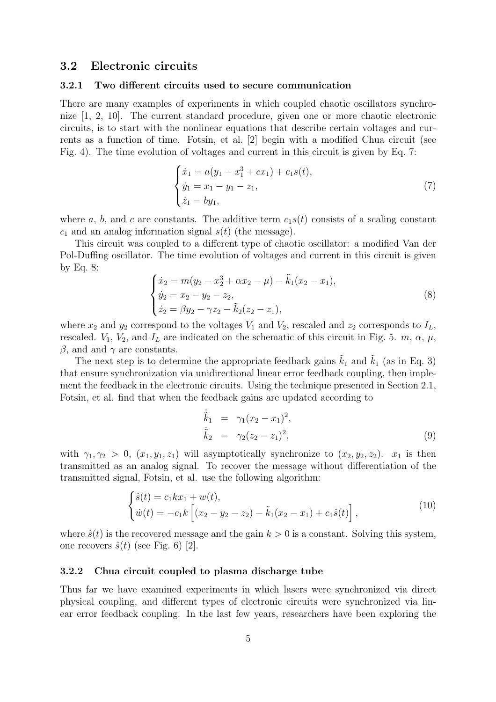### 3.2 Electronic circuits

#### 3.2.1 Two different circuits used to secure communication

There are many examples of experiments in which coupled chaotic oscillators synchronize [1, 2, 10]. The current standard procedure, given one or more chaotic electronic circuits, is to start with the nonlinear equations that describe certain voltages and currents as a function of time. Fotsin, et al. [2] begin with a modified Chua circuit (see Fig. 4). The time evolution of voltages and current in this circuit is given by Eq. 7:

$$
\begin{cases}\n\dot{x}_1 = a(y_1 - x_1^3 + cx_1) + c_1 s(t), \\
\dot{y}_1 = x_1 - y_1 - z_1, \\
\dot{z}_1 = by_1,\n\end{cases} (7)
$$

where a, b, and c are constants. The additive term  $c_1s(t)$  consists of a scaling constant  $c_1$  and an analog information signal  $s(t)$  (the message).

This circuit was coupled to a different type of chaotic oscillator: a modified Van der Pol-Duffing oscillator. The time evolution of voltages and current in this circuit is given by Eq. 8:

$$
\begin{cases}\n\dot{x}_2 = m(y_2 - x_2^3 + \alpha x_2 - \mu) - \tilde{k}_1(x_2 - x_1), \\
\dot{y}_2 = x_2 - y_2 - z_2, \\
\dot{z}_2 = \beta y_2 - \gamma z_2 - \tilde{k}_2(z_2 - z_1),\n\end{cases} (8)
$$

where  $x_2$  and  $y_2$  correspond to the voltages  $V_1$  and  $V_2$ , rescaled and  $z_2$  corresponds to  $I_L$ , rescaled.  $V_1$ ,  $V_2$ , and  $I_L$  are indicated on the schematic of this circuit in Fig. 5. m,  $\alpha$ ,  $\mu$ ,  $\beta$ , and and  $\gamma$  are constants.

The next step is to determine the appropriate feedback gains  $\tilde{k}_1$  and  $\tilde{k}_1$  (as in Eq. 3) that ensure synchronization via unidirectional linear error feedback coupling, then implement the feedback in the electronic circuits. Using the technique presented in Section 2.1, Fotsin, et al. find that when the feedback gains are updated according to

$$
\dot{\tilde{k}}_1 = \gamma_1 (x_2 - x_1)^2, \n\dot{\tilde{k}}_2 = \gamma_2 (z_2 - z_1)^2,
$$
\n(9)

with  $\gamma_1, \gamma_2 > 0$ ,  $(x_1, y_1, z_1)$  will asymptotically synchronize to  $(x_2, y_2, z_2)$ .  $x_1$  is then transmitted as an analog signal. To recover the message without differentiation of the transmitted signal, Fotsin, et al. use the following algorithm:

$$
\begin{cases}\n\hat{s}(t) = c_1 k x_1 + w(t), \\
\dot{w}(t) = -c_1 k \left[ (x_2 - y_2 - z_2) - \tilde{k}_1 (x_2 - x_1) + c_1 \hat{s}(t) \right],\n\end{cases}
$$
\n(10)

where  $\hat{s}(t)$  is the recovered message and the gain  $k > 0$  is a constant. Solving this system, one recovers  $\hat{s}(t)$  (see Fig. 6) [2].

#### 3.2.2 Chua circuit coupled to plasma discharge tube

Thus far we have examined experiments in which lasers were synchronized via direct physical coupling, and different types of electronic circuits were synchronized via linear error feedback coupling. In the last few years, researchers have been exploring the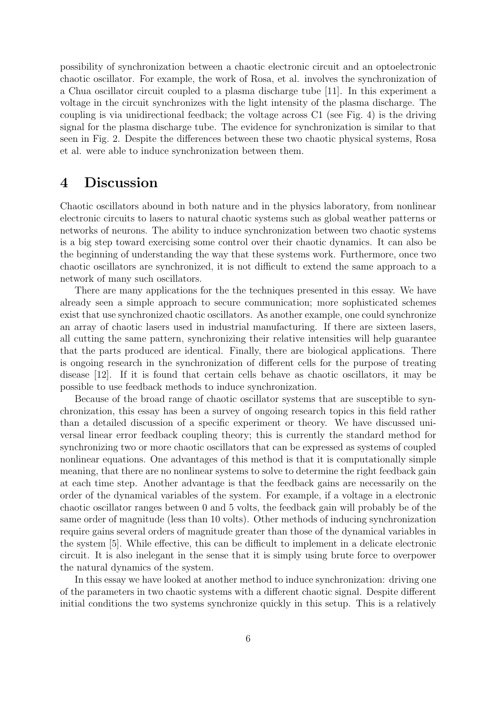possibility of synchronization between a chaotic electronic circuit and an optoelectronic chaotic oscillator. For example, the work of Rosa, et al. involves the synchronization of a Chua oscillator circuit coupled to a plasma discharge tube [11]. In this experiment a voltage in the circuit synchronizes with the light intensity of the plasma discharge. The coupling is via unidirectional feedback; the voltage across C1 (see Fig. 4) is the driving signal for the plasma discharge tube. The evidence for synchronization is similar to that seen in Fig. 2. Despite the differences between these two chaotic physical systems, Rosa et al. were able to induce synchronization between them.

# 4 Discussion

Chaotic oscillators abound in both nature and in the physics laboratory, from nonlinear electronic circuits to lasers to natural chaotic systems such as global weather patterns or networks of neurons. The ability to induce synchronization between two chaotic systems is a big step toward exercising some control over their chaotic dynamics. It can also be the beginning of understanding the way that these systems work. Furthermore, once two chaotic oscillators are synchronized, it is not difficult to extend the same approach to a network of many such oscillators.

There are many applications for the the techniques presented in this essay. We have already seen a simple approach to secure communication; more sophisticated schemes exist that use synchronized chaotic oscillators. As another example, one could synchronize an array of chaotic lasers used in industrial manufacturing. If there are sixteen lasers, all cutting the same pattern, synchronizing their relative intensities will help guarantee that the parts produced are identical. Finally, there are biological applications. There is ongoing research in the synchronization of different cells for the purpose of treating disease [12]. If it is found that certain cells behave as chaotic oscillators, it may be possible to use feedback methods to induce synchronization.

Because of the broad range of chaotic oscillator systems that are susceptible to synchronization, this essay has been a survey of ongoing research topics in this field rather than a detailed discussion of a specific experiment or theory. We have discussed universal linear error feedback coupling theory; this is currently the standard method for synchronizing two or more chaotic oscillators that can be expressed as systems of coupled nonlinear equations. One advantages of this method is that it is computationally simple meaning, that there are no nonlinear systems to solve to determine the right feedback gain at each time step. Another advantage is that the feedback gains are necessarily on the order of the dynamical variables of the system. For example, if a voltage in a electronic chaotic oscillator ranges between 0 and 5 volts, the feedback gain will probably be of the same order of magnitude (less than 10 volts). Other methods of inducing synchronization require gains several orders of magnitude greater than those of the dynamical variables in the system [5]. While effective, this can be difficult to implement in a delicate electronic circuit. It is also inelegant in the sense that it is simply using brute force to overpower the natural dynamics of the system.

In this essay we have looked at another method to induce synchronization: driving one of the parameters in two chaotic systems with a different chaotic signal. Despite different initial conditions the two systems synchronize quickly in this setup. This is a relatively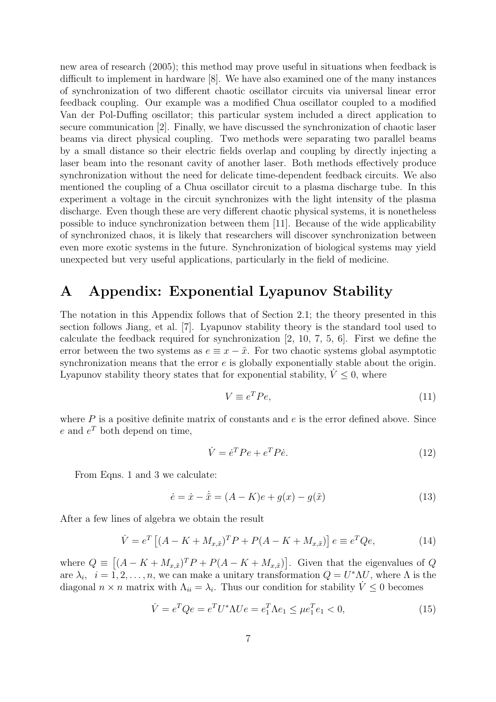new area of research (2005); this method may prove useful in situations when feedback is difficult to implement in hardware [8]. We have also examined one of the many instances of synchronization of two different chaotic oscillator circuits via universal linear error feedback coupling. Our example was a modified Chua oscillator coupled to a modified Van der Pol-Duffing oscillator; this particular system included a direct application to secure communication [2]. Finally, we have discussed the synchronization of chaotic laser beams via direct physical coupling. Two methods were separating two parallel beams by a small distance so their electric fields overlap and coupling by directly injecting a laser beam into the resonant cavity of another laser. Both methods effectively produce synchronization without the need for delicate time-dependent feedback circuits. We also mentioned the coupling of a Chua oscillator circuit to a plasma discharge tube. In this experiment a voltage in the circuit synchronizes with the light intensity of the plasma discharge. Even though these are very different chaotic physical systems, it is nonetheless possible to induce synchronization between them [11]. Because of the wide applicability of synchronized chaos, it is likely that researchers will discover synchronization between even more exotic systems in the future. Synchronization of biological systems may yield unexpected but very useful applications, particularly in the field of medicine.

# A Appendix: Exponential Lyapunov Stability

The notation in this Appendix follows that of Section 2.1; the theory presented in this section follows Jiang, et al. [7]. Lyapunov stability theory is the standard tool used to calculate the feedback required for synchronization [2, 10, 7, 5, 6]. First we define the error between the two systems as  $e \equiv x - \tilde{x}$ . For two chaotic systems global asymptotic synchronization means that the error  $e$  is globally exponentially stable about the origin. Lyapunov stability theory states that for exponential stability,  $\dot{V} \leq 0$ , where

$$
V \equiv e^T P e,\tag{11}
$$

where  $P$  is a positive definite matrix of constants and  $e$  is the error defined above. Since  $e$  and  $e^T$  both depend on time,

$$
\dot{V} = \dot{e}^T P e + e^T P \dot{e}.\tag{12}
$$

From Eqns. 1 and 3 we calculate:

$$
\dot{e} = \dot{x} - \dot{\tilde{x}} = (A - K)e + g(x) - g(\tilde{x})
$$
\n(13)

After a few lines of algebra we obtain the result

$$
\dot{V} = e^{T} \left[ (A - K + M_{x,\tilde{x}})^{T} P + P(A - K + M_{x,\tilde{x}}) \right] e \equiv e^{T} Q e,
$$
\n(14)

where  $Q \equiv \left[ (A - K + M_{x,\tilde{x}})^T P + P(A - K + M_{x,\tilde{x}}) \right]$ . Given that the eigenvalues of Q are  $\lambda_i$ ,  $i = 1, 2, ..., n$ , we can make a unitary transformation  $Q = U^* \Lambda U$ , where  $\Lambda$  is the diagonal  $n \times n$  matrix with  $\Lambda_{ii} = \lambda_i$ . Thus our condition for stability  $\dot{V} \leq 0$  becomes

$$
\dot{V} = e^T Q e = e^T U^* \Lambda U e = e_1^T \Lambda e_1 \le \mu e_1^T e_1 < 0,\tag{15}
$$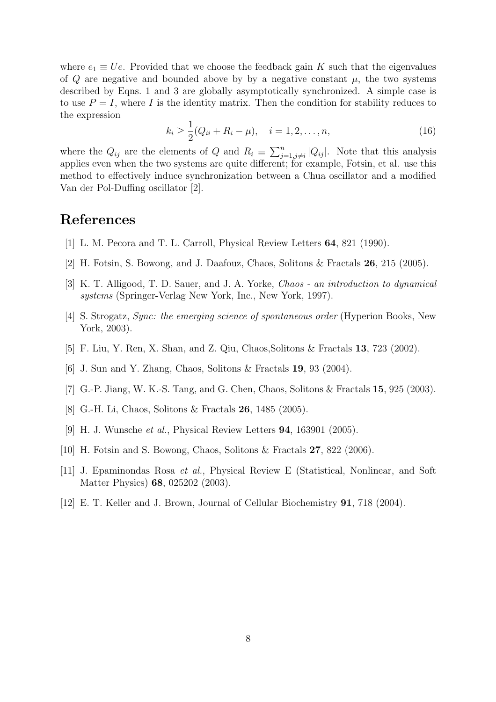where  $e_1 \equiv Ue$ . Provided that we choose the feedback gain K such that the eigenvalues of Q are negative and bounded above by by a negative constant  $\mu$ , the two systems described by Eqns. 1 and 3 are globally asymptotically synchronized. A simple case is to use  $P = I$ , where I is the identity matrix. Then the condition for stability reduces to the expression

$$
k_i \ge \frac{1}{2}(Q_{ii} + R_i - \mu), \quad i = 1, 2, \dots, n,
$$
\n(16)

where the  $Q_{ij}$  are the elements of Q and  $R_i \equiv \sum_{j=1,j\neq i}^{n} |Q_{ij}|$ . Note that this analysis applies even when the two systems are quite different; for example, Fotsin, et al. use this method to effectively induce synchronization between a Chua oscillator and a modified Van der Pol-Duffing oscillator [2].

# References

- [1] L. M. Pecora and T. L. Carroll, Physical Review Letters 64, 821 (1990).
- [2] H. Fotsin, S. Bowong, and J. Daafouz, Chaos, Solitons & Fractals 26, 215 (2005).
- [3] K. T. Alligood, T. D. Sauer, and J. A. Yorke, Chaos an introduction to dynamical systems (Springer-Verlag New York, Inc., New York, 1997).
- [4] S. Strogatz, Sync: the emerging science of spontaneous order (Hyperion Books, New York, 2003).
- [5] F. Liu, Y. Ren, X. Shan, and Z. Qiu, Chaos,Solitons & Fractals 13, 723 (2002).
- [6] J. Sun and Y. Zhang, Chaos, Solitons & Fractals 19, 93 (2004).
- [7] G.-P. Jiang, W. K.-S. Tang, and G. Chen, Chaos, Solitons & Fractals 15, 925 (2003).
- [8] G.-H. Li, Chaos, Solitons & Fractals 26, 1485 (2005).
- [9] H. J. Wunsche et al., Physical Review Letters 94, 163901 (2005).
- [10] H. Fotsin and S. Bowong, Chaos, Solitons & Fractals 27, 822 (2006).
- [11] J. Epaminondas Rosa et al., Physical Review E (Statistical, Nonlinear, and Soft Matter Physics) 68, 025202 (2003).
- [12] E. T. Keller and J. Brown, Journal of Cellular Biochemistry 91, 718 (2004).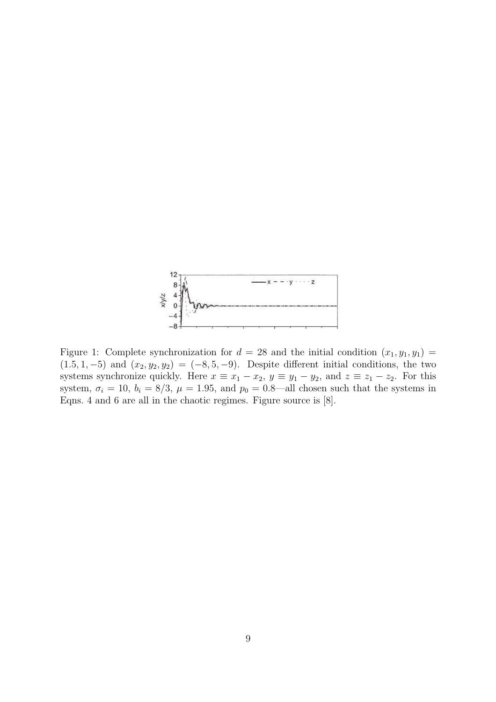

Figure 1: Complete synchronization for  $d = 28$  and the initial condition  $(x_1, y_1, y_1) =$  $(1.5, 1, -5)$  and  $(x_2, y_2, y_2) = (-8, 5, -9)$ . Despite different initial conditions, the two systems synchronize quickly. Here  $x \equiv x_1 - x_2$ ,  $y \equiv y_1 - y_2$ , and  $z \equiv z_1 - z_2$ . For this system,  $\sigma_i = 10$ ,  $b_i = 8/3$ ,  $\mu = 1.95$ , and  $p_0 = 0.8$ —all chosen such that the systems in Eqns. 4 and 6 are all in the chaotic regimes. Figure source is [8].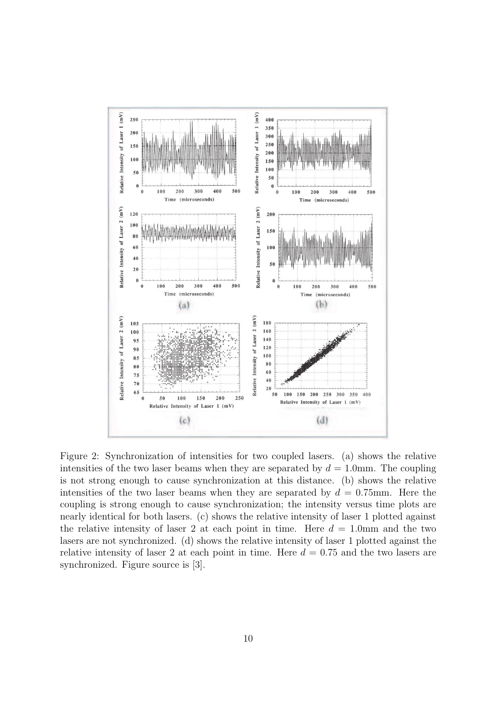

Figure 2: Synchronization of intensities for two coupled lasers. (a) shows the relative intensities of the two laser beams when they are separated by  $d = 1.0$ mm. The coupling is not strong enough to cause synchronization at this distance. (b) shows the relative intensities of the two laser beams when they are separated by  $d = 0.75$ mm. Here the coupling is strong enough to cause synchronization; the intensity versus time plots are nearly identical for both lasers. (c) shows the relative intensity of laser 1 plotted against the relative intensity of laser 2 at each point in time. Here  $d = 1.0$ mm and the two lasers are not synchronized. (d) shows the relative intensity of laser 1 plotted against the relative intensity of laser 2 at each point in time. Here  $d = 0.75$  and the two lasers are synchronized. Figure source is [3].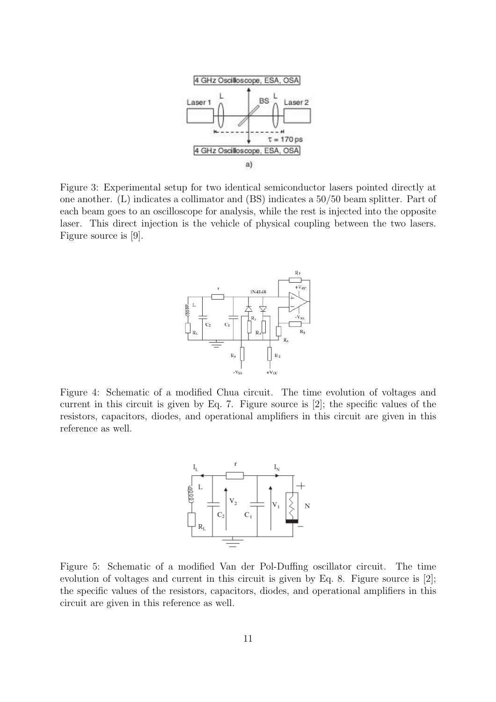

Figure 3: Experimental setup for two identical semiconductor lasers pointed directly at one another. (L) indicates a collimator and (BS) indicates a 50/50 beam splitter. Part of each beam goes to an oscilloscope for analysis, while the rest is injected into the opposite laser. This direct injection is the vehicle of physical coupling between the two lasers. Figure source is [9].



Figure 4: Schematic of a modified Chua circuit. The time evolution of voltages and current in this circuit is given by Eq. 7. Figure source is [2]; the specific values of the resistors, capacitors, diodes, and operational amplifiers in this circuit are given in this reference as well.



Figure 5: Schematic of a modified Van der Pol-Duffing oscillator circuit. The time evolution of voltages and current in this circuit is given by Eq. 8. Figure source is [2]; the specific values of the resistors, capacitors, diodes, and operational amplifiers in this circuit are given in this reference as well.